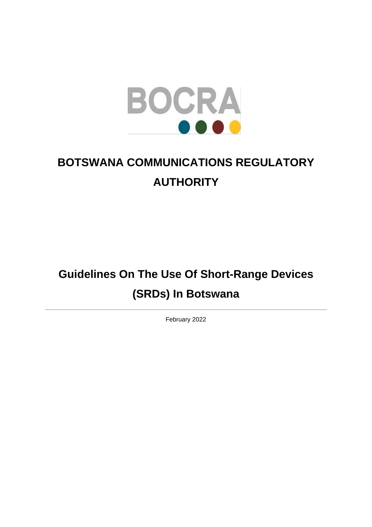

# **BOTSWANA COMMUNICATIONS REGULATORY AUTHORITY**

# **Guidelines On The Use Of Short-Range Devices (SRDs) In Botswana**

February 2022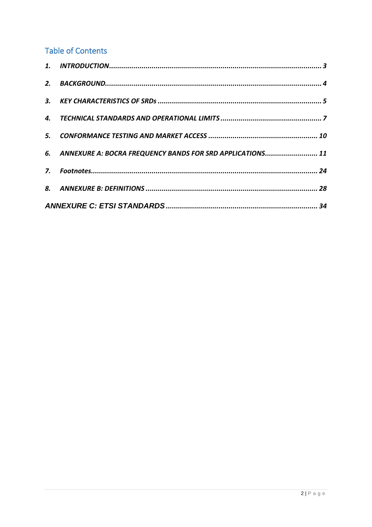### **Table of Contents**

| 6. ANNEXURE A: BOCRA FREQUENCY BANDS FOR SRD APPLICATIONS 11 |  |
|--------------------------------------------------------------|--|
|                                                              |  |
|                                                              |  |
|                                                              |  |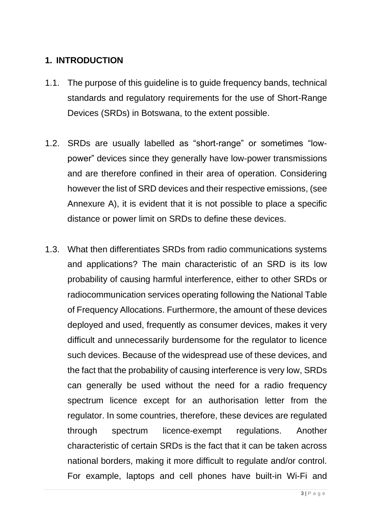#### <span id="page-2-0"></span>**1. INTRODUCTION**

- 1.1. The purpose of this guideline is to guide frequency bands, technical standards and regulatory requirements for the use of Short-Range Devices (SRDs) in Botswana, to the extent possible.
- 1.2. SRDs are usually labelled as "short-range" or sometimes "lowpower" devices since they generally have low-power transmissions and are therefore confined in their area of operation. Considering however the list of SRD devices and their respective emissions, (see Annexure A), it is evident that it is not possible to place a specific distance or power limit on SRDs to define these devices.
- 1.3. What then differentiates SRDs from radio communications systems and applications? The main characteristic of an SRD is its low probability of causing harmful interference, either to other SRDs or radiocommunication services operating following the National Table of Frequency Allocations. Furthermore, the amount of these devices deployed and used, frequently as consumer devices, makes it very difficult and unnecessarily burdensome for the regulator to licence such devices. Because of the widespread use of these devices, and the fact that the probability of causing interference is very low, SRDs can generally be used without the need for a radio frequency spectrum licence except for an authorisation letter from the regulator. In some countries, therefore, these devices are regulated through spectrum licence-exempt regulations. Another characteristic of certain SRDs is the fact that it can be taken across national borders, making it more difficult to regulate and/or control. For example, laptops and cell phones have built-in Wi-Fi and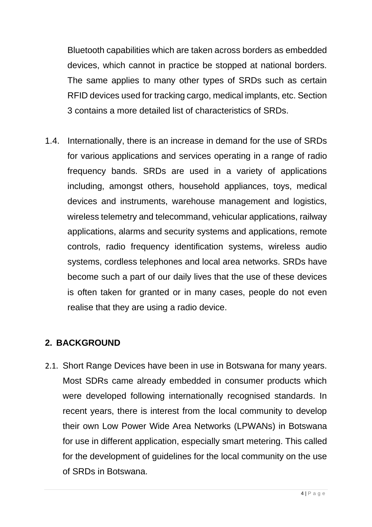Bluetooth capabilities which are taken across borders as embedded devices, which cannot in practice be stopped at national borders. The same applies to many other types of SRDs such as certain RFID devices used for tracking cargo, medical implants, etc. Section [3](#page-4-0) contains a more detailed list of characteristics of SRDs.

1.4. Internationally, there is an increase in demand for the use of SRDs for various applications and services operating in a range of radio frequency bands. SRDs are used in a variety of applications including, amongst others, household appliances, toys, medical devices and instruments, warehouse management and logistics, wireless telemetry and telecommand, vehicular applications, railway applications, alarms and security systems and applications, remote controls, radio frequency identification systems, wireless audio systems, cordless telephones and local area networks. SRDs have become such a part of our daily lives that the use of these devices is often taken for granted or in many cases, people do not even realise that they are using a radio device.

# <span id="page-3-0"></span>**2. BACKGROUND**

2.1. Short Range Devices have been in use in Botswana for many years. Most SDRs came already embedded in consumer products which were developed following internationally recognised standards. In recent years, there is interest from the local community to develop their own Low Power Wide Area Networks (LPWANs) in Botswana for use in different application, especially smart metering. This called for the development of guidelines for the local community on the use of SRDs in Botswana.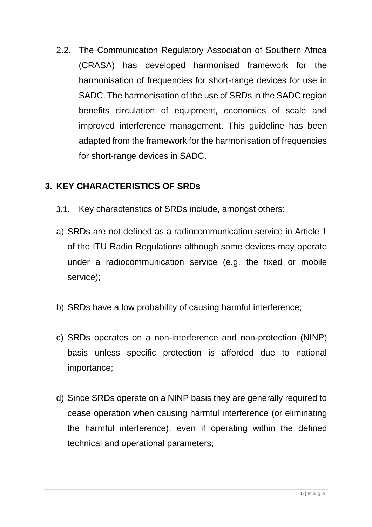2.2. The Communication Regulatory Association of Southern Africa (CRASA) has developed harmonised framework for the harmonisation of frequencies for short-range devices for use in SADC. The harmonisation of the use of SRDs in the SADC region benefits circulation of equipment, economies of scale and improved interference management. This guideline has been adapted from the framework for the harmonisation of frequencies for short-range devices in SADC.

# <span id="page-4-0"></span>**3. KEY CHARACTERISTICS OF SRDs**

- 3.1. Key characteristics of SRDs include, amongst others:
- a) SRDs are not defined as a radiocommunication service in Article 1 of the ITU Radio Regulations although some devices may operate under a radiocommunication service (e.g. the fixed or mobile service);
- b) SRDs have a low probability of causing harmful interference;
- c) SRDs operates on a non-interference and non-protection (NINP) basis unless specific protection is afforded due to national importance;
- d) Since SRDs operate on a NINP basis they are generally required to cease operation when causing harmful interference (or eliminating the harmful interference), even if operating within the defined technical and operational parameters;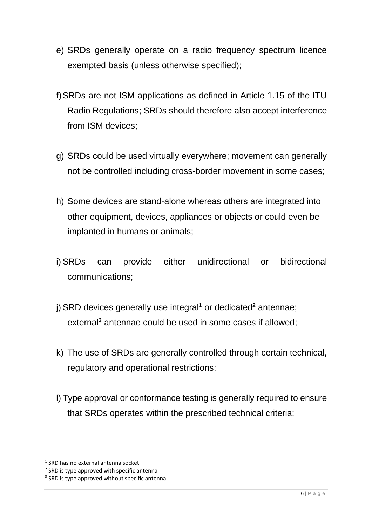- e) SRDs generally operate on a radio frequency spectrum licence exempted basis (unless otherwise specified);
- f)SRDs are not ISM applications as defined in Article 1.15 of the ITU Radio Regulations; SRDs should therefore also accept interference from ISM devices;
- g) SRDs could be used virtually everywhere; movement can generally not be controlled including cross-border movement in some cases;
- h) Some devices are stand-alone whereas others are integrated into other equipment, devices, appliances or objects or could even be implanted in humans or animals;
- i) SRDs can provide either unidirectional or bidirectional communications;
- j) SRD devices generally use integral**<sup>1</sup>** or dedicated**<sup>2</sup>** antennae; external**<sup>3</sup>** antennae could be used in some cases if allowed;
- k) The use of SRDs are generally controlled through certain technical, regulatory and operational restrictions;
- l) Type approval or conformance testing is generally required to ensure that SRDs operates within the prescribed technical criteria;

<sup>1</sup> SRD has no external antenna socket

<sup>&</sup>lt;sup>2</sup> SRD is type approved with specific antenna

<sup>&</sup>lt;sup>3</sup> SRD is type approved without specific antenna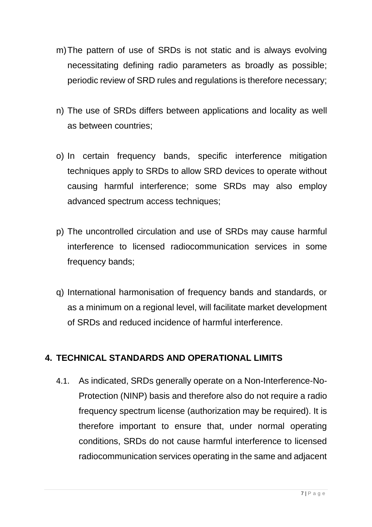- m)The pattern of use of SRDs is not static and is always evolving necessitating defining radio parameters as broadly as possible; periodic review of SRD rules and regulations is therefore necessary;
- n) The use of SRDs differs between applications and locality as well as between countries;
- o) In certain frequency bands, specific interference mitigation techniques apply to SRDs to allow SRD devices to operate without causing harmful interference; some SRDs may also employ advanced spectrum access techniques;
- p) The uncontrolled circulation and use of SRDs may cause harmful interference to licensed radiocommunication services in some frequency bands;
- q) International harmonisation of frequency bands and standards, or as a minimum on a regional level, will facilitate market development of SRDs and reduced incidence of harmful interference.

# <span id="page-6-0"></span>**4. TECHNICAL STANDARDS AND OPERATIONAL LIMITS**

4.1. As indicated, SRDs generally operate on a Non-Interference-No-Protection (NINP) basis and therefore also do not require a radio frequency spectrum license (authorization may be required). It is therefore important to ensure that, under normal operating conditions, SRDs do not cause harmful interference to licensed radiocommunication services operating in the same and adjacent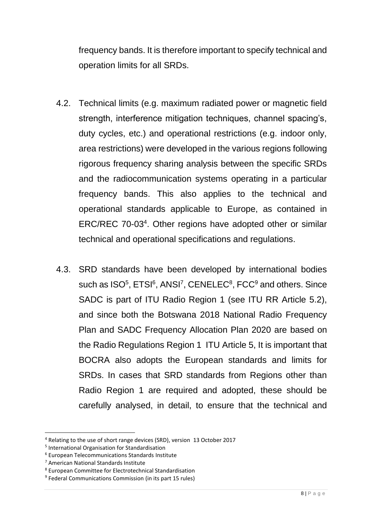frequency bands. It is therefore important to specify technical and operation limits for all SRDs.

- 4.2. Technical limits (e.g. maximum radiated power or magnetic field strength, interference mitigation techniques, channel spacing's, duty cycles, etc.) and operational restrictions (e.g. indoor only, area restrictions) were developed in the various regions following rigorous frequency sharing analysis between the specific SRDs and the radiocommunication systems operating in a particular frequency bands. This also applies to the technical and operational standards applicable to Europe, as contained in ERC/REC 70-03<sup>4</sup>. Other regions have adopted other or similar technical and operational specifications and regulations.
- 4.3. SRD standards have been developed by international bodies such as ISO<sup>5</sup>, ETSI<sup>6</sup>, ANSI<sup>7</sup>, CENELEC<sup>8</sup>, FCC<sup>9</sup> and others. Since SADC is part of ITU Radio Region 1 (see ITU RR Article 5.2), and since both the Botswana 2018 National Radio Frequency Plan and SADC Frequency Allocation Plan 2020 are based on the Radio Regulations Region 1 ITU Article 5, It is important that BOCRA also adopts the European standards and limits for SRDs. In cases that SRD standards from Regions other than Radio Region 1 are required and adopted, these should be carefully analysed, in detail, to ensure that the technical and

<sup>4</sup> Relating to the use of short range devices (SRD), version 13 October 2017

<sup>5</sup> International Organisation for Standardisation

<sup>6</sup> European Telecommunications Standards Institute

<sup>7</sup> American National Standards Institute

<sup>8</sup> European Committee for Electrotechnical Standardisation

<sup>&</sup>lt;sup>9</sup> Federal Communications Commission (in its part 15 rules)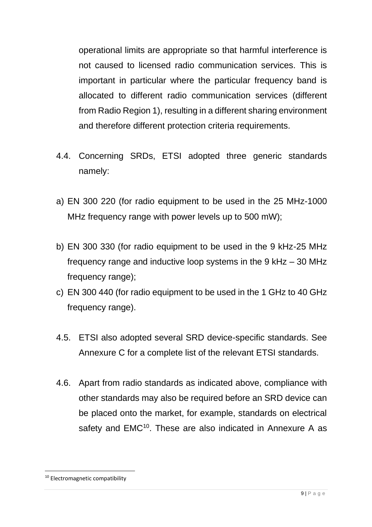operational limits are appropriate so that harmful interference is not caused to licensed radio communication services. This is important in particular where the particular frequency band is allocated to different radio communication services (different from Radio Region 1), resulting in a different sharing environment and therefore different protection criteria requirements.

- 4.4. Concerning SRDs, ETSI adopted three generic standards namely:
- a) EN 300 220 (for radio equipment to be used in the 25 MHz-1000 MHz frequency range with power levels up to 500 mW);
- b) EN 300 330 (for radio equipment to be used in the 9 kHz-25 MHz frequency range and inductive loop systems in the 9 kHz – 30 MHz frequency range);
- c) EN 300 440 (for radio equipment to be used in the 1 GHz to 40 GHz frequency range).
- 4.5. ETSI also adopted several SRD device-specific standards. See Annexure C for a complete list of the relevant ETSI standards.
- 4.6. Apart from radio standards as indicated above, compliance with other standards may also be required before an SRD device can be placed onto the market, for example, standards on electrical safety and EMC<sup>10</sup>. These are also indicated in Annexure A as

<sup>&</sup>lt;sup>10</sup> Electromagnetic compatibility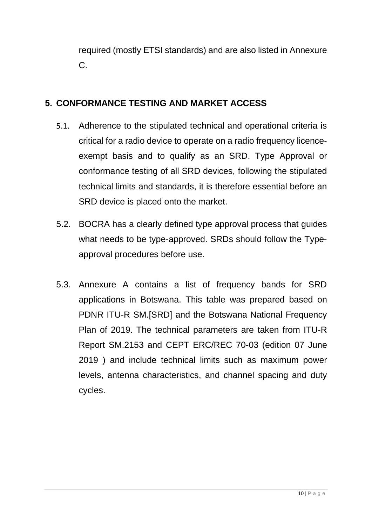required (mostly ETSI standards) and are also listed in Annexure C.

# <span id="page-9-0"></span>**5. CONFORMANCE TESTING AND MARKET ACCESS**

- 5.1. Adherence to the stipulated technical and operational criteria is critical for a radio device to operate on a radio frequency licenceexempt basis and to qualify as an SRD. Type Approval or conformance testing of all SRD devices, following the stipulated technical limits and standards, it is therefore essential before an SRD device is placed onto the market.
- 5.2. BOCRA has a clearly defined type approval process that guides what needs to be type-approved. SRDs should follow the Typeapproval procedures before use.
- 5.3. Annexure A contains a list of frequency bands for SRD applications in Botswana. This table was prepared based on PDNR ITU-R SM.[SRD] and the Botswana National Frequency Plan of 2019. The technical parameters are taken from ITU-R Report SM.2153 and CEPT ERC/REC 70-03 (edition 07 June 2019 ) and include technical limits such as maximum power levels, antenna characteristics, and channel spacing and duty cycles.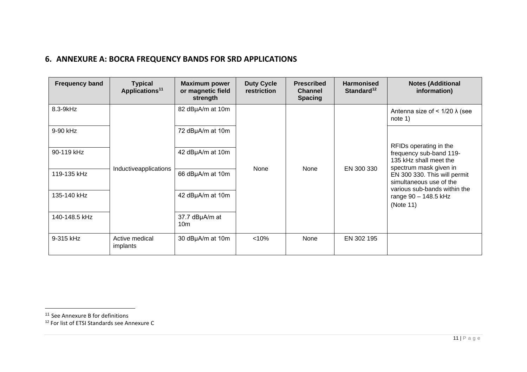#### **6. ANNEXURE A: BOCRA FREQUENCY BANDS FOR SRD APPLICATIONS**

| <b>Frequency band</b> | <b>Typical</b><br>Applications <sup>11</sup> | <b>Maximum power</b><br>or magnetic field<br>strength | <b>Duty Cycle</b><br>restriction | <b>Prescribed</b><br><b>Channel</b><br><b>Spacing</b> | <b>Harmonised</b><br>Standard <sup>12</sup> | <b>Notes (Additional</b><br>information)                                                                                                                               |
|-----------------------|----------------------------------------------|-------------------------------------------------------|----------------------------------|-------------------------------------------------------|---------------------------------------------|------------------------------------------------------------------------------------------------------------------------------------------------------------------------|
| 8.3-9kHz              |                                              | 82 dBµA/m at 10m                                      |                                  |                                                       |                                             | Antenna size of < $1/20 \lambda$ (see<br>note 1)                                                                                                                       |
| 9-90 kHz              |                                              | 72 dBµA/m at 10m                                      | None                             |                                                       |                                             | RFIDs operating in the                                                                                                                                                 |
| 90-119 kHz            | Inductiveapplications                        | 42 dBµA/m at 10m                                      |                                  | None                                                  | EN 300 330                                  | frequency sub-band 119-<br>135 kHz shall meet the<br>spectrum mask given in<br>EN 300 330. This will permit<br>simultaneous use of the<br>various sub-bands within the |
| 119-135 kHz           |                                              | 66 dBµA/m at 10m                                      |                                  |                                                       |                                             |                                                                                                                                                                        |
| 135-140 kHz           |                                              | 42 dBµA/m at 10m                                      |                                  |                                                       |                                             | range 90 - 148.5 kHz<br>(Note 11)                                                                                                                                      |
| 140-148.5 kHz         |                                              | 37.7 dBµA/m at<br>10 <sub>m</sub>                     |                                  |                                                       |                                             |                                                                                                                                                                        |
| 9-315 kHz             | Active medical<br>implants                   | 30 dBµA/m at 10m                                      | < 10%                            | None                                                  | EN 302 195                                  |                                                                                                                                                                        |

<span id="page-10-0"></span><sup>&</sup>lt;sup>11</sup> See Annexure B for definitions

<sup>12</sup> For list of ETSI Standards see Annexure C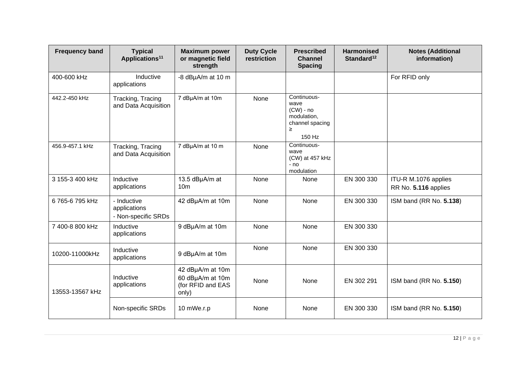| <b>Frequency band</b> | <b>Typical</b><br>Applications <sup>11</sup>       | <b>Maximum power</b><br>or magnetic field<br>strength              | <b>Duty Cycle</b><br>restriction | <b>Prescribed</b><br><b>Channel</b><br><b>Spacing</b>                               | <b>Harmonised</b><br>Standard <sup>12</sup> | <b>Notes (Additional</b><br>information)     |
|-----------------------|----------------------------------------------------|--------------------------------------------------------------------|----------------------------------|-------------------------------------------------------------------------------------|---------------------------------------------|----------------------------------------------|
| 400-600 kHz           | Inductive<br>applications                          | -8 dBµA/m at 10 m                                                  |                                  |                                                                                     |                                             | For RFID only                                |
| 442.2-450 kHz         | Tracking, Tracing<br>and Data Acquisition          | 7 dBµA/m at 10m                                                    | None                             | Continuous-<br>wave<br>$(CW)$ - no<br>modulation,<br>channel spacing<br>≥<br>150 Hz |                                             |                                              |
| 456.9-457.1 kHz       | Tracking, Tracing<br>and Data Acquisition          | 7 dBµA/m at 10 m                                                   | None                             | Continuous-<br>wave<br>(CW) at 457 kHz<br>- no<br>modulation                        |                                             |                                              |
| 3 155-3 400 kHz       | Inductive<br>applications                          | 13.5 dBµA/m at<br>10 <sub>m</sub>                                  | None                             | None                                                                                | EN 300 330                                  | ITU-R M.1076 applies<br>RR No. 5.116 applies |
| 6765-6795 kHz         | - Inductive<br>applications<br>- Non-specific SRDs | 42 dBµA/m at 10m                                                   | None                             | None                                                                                | EN 300 330                                  | ISM band (RR No. 5.138)                      |
| 7 400-8 800 kHz       | Inductive<br>applications                          | 9 dBµA/m at 10m                                                    | None                             | None                                                                                | EN 300 330                                  |                                              |
| 10200-11000kHz        | Inductive<br>applications                          | 9 dBµA/m at 10m                                                    | None                             | None                                                                                | EN 300 330                                  |                                              |
| 13553-13567 kHz       | Inductive<br>applications                          | 42 dBµA/m at 10m<br>60 dBµA/m at 10m<br>(for RFID and EAS<br>only) | None                             | None                                                                                | EN 302 291                                  | ISM band (RR No. 5.150)                      |
|                       | Non-specific SRDs                                  | 10 mWe.r.p                                                         | None                             | None                                                                                | EN 300 330                                  | ISM band (RR No. 5.150)                      |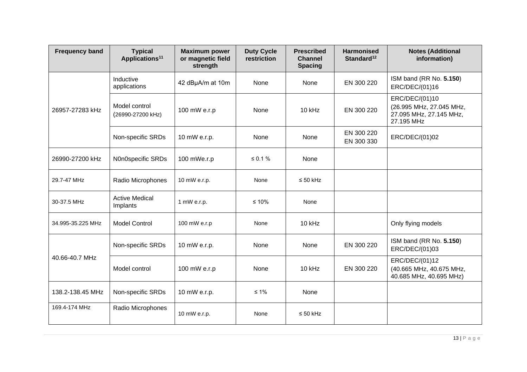| <b>Frequency band</b> | <b>Typical</b><br>Applications <sup>11</sup> | <b>Maximum power</b><br>or magnetic field<br>strength | <b>Duty Cycle</b><br>restriction | <b>Prescribed</b><br><b>Channel</b><br><b>Spacing</b> | <b>Harmonised</b><br>Standard <sup>12</sup> | <b>Notes (Additional</b><br>information)                                            |
|-----------------------|----------------------------------------------|-------------------------------------------------------|----------------------------------|-------------------------------------------------------|---------------------------------------------|-------------------------------------------------------------------------------------|
| 26957-27283 kHz       | Inductive<br>applications                    | 42 dBµA/m at 10m                                      | None                             | None                                                  | EN 300 220                                  | ISM band (RR No. 5.150)<br>ERC/DEC/(01)16                                           |
|                       | Model control<br>(26990-27200 kHz)           | 100 mW e.r.p                                          | None                             | 10 kHz                                                | EN 300 220                                  | ERC/DEC/(01)10<br>(26.995 MHz, 27.045 MHz,<br>27.095 MHz, 27.145 MHz,<br>27.195 MHz |
|                       | Non-specific SRDs                            | 10 mW e.r.p.                                          | None                             | None                                                  | EN 300 220<br>EN 300 330                    | ERC/DEC/(01)02                                                                      |
| 26990-27200 kHz       | N0n0specific SRDs                            | 100 mWe.r.p                                           | ≤ 0.1 %                          | None                                                  |                                             |                                                                                     |
| 29.7-47 MHz           | Radio Microphones                            | 10 mW e.r.p.                                          | None                             | $\leq 50$ kHz                                         |                                             |                                                                                     |
| 30-37.5 MHz           | <b>Active Medical</b><br>Implants            | 1 mW e.r.p.                                           | $≤ 10%$                          | None                                                  |                                             |                                                                                     |
| 34.995-35.225 MHz     | <b>Model Control</b>                         | 100 mW e.r.p                                          | None                             | 10 kHz                                                |                                             | Only flying models                                                                  |
|                       | Non-specific SRDs                            | 10 mW e.r.p.                                          | None                             | None                                                  | EN 300 220                                  | ISM band (RR No. 5.150)<br>ERC/DEC/(01)03                                           |
| 40.66-40.7 MHz        | Model control                                | 100 mW e.r.p                                          | None                             | 10 kHz                                                | EN 300 220                                  | ERC/DEC/(01)12<br>(40.665 MHz, 40.675 MHz,<br>40.685 MHz, 40.695 MHz)               |
| 138.2-138.45 MHz      | Non-specific SRDs                            | 10 mW e.r.p.                                          | $\leq 1\%$                       | None                                                  |                                             |                                                                                     |
| 169.4-174 MHz         | Radio Microphones                            | 10 mW e.r.p.                                          | None                             | $\leq 50$ kHz                                         |                                             |                                                                                     |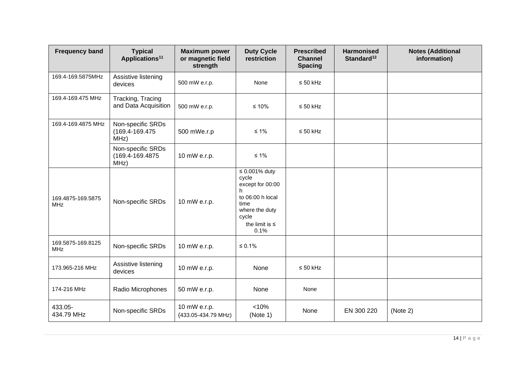| <b>Frequency band</b>           | <b>Typical</b><br>Applications <sup>11</sup>  | <b>Maximum power</b><br>or magnetic field<br>strength | <b>Duty Cycle</b><br>restriction                                                                                                            | <b>Prescribed</b><br><b>Channel</b><br><b>Spacing</b> | <b>Harmonised</b><br>Standard <sup>12</sup> | <b>Notes (Additional</b><br>information) |
|---------------------------------|-----------------------------------------------|-------------------------------------------------------|---------------------------------------------------------------------------------------------------------------------------------------------|-------------------------------------------------------|---------------------------------------------|------------------------------------------|
| 169.4-169.5875MHz               | Assistive listening<br>devices                | 500 mW e.r.p.                                         | None                                                                                                                                        | $\leq 50$ kHz                                         |                                             |                                          |
| 169.4-169.475 MHz               | Tracking, Tracing<br>and Data Acquisition     | 500 mW e.r.p.                                         | $≤ 10%$                                                                                                                                     | $\leq 50$ kHz                                         |                                             |                                          |
| 169.4-169.4875 MHz              | Non-specific SRDs<br>(169.4-169.475<br>MHz)   | 500 mWe.r.p                                           | $\leq 1\%$                                                                                                                                  | $\leq 50$ kHz                                         |                                             |                                          |
|                                 | Non-specific SRDs<br>(169.4-169.4875)<br>MHz) | 10 mW e.r.p.                                          | $\leq 1\%$                                                                                                                                  |                                                       |                                             |                                          |
| 169.4875-169.5875<br><b>MHz</b> | Non-specific SRDs                             | 10 mW e.r.p.                                          | $\leq 0.001\%$ duty<br>cycle<br>except for 00:00<br>h<br>to 06:00 h local<br>time<br>where the duty<br>cycle<br>the limit is $\leq$<br>0.1% |                                                       |                                             |                                          |
| 169.5875-169.8125<br><b>MHz</b> | Non-specific SRDs                             | 10 mW e.r.p.                                          | $\leq 0.1\%$                                                                                                                                |                                                       |                                             |                                          |
| 173.965-216 MHz                 | Assistive listening<br>devices                | 10 mW e.r.p.                                          | None                                                                                                                                        | $\leq 50$ kHz                                         |                                             |                                          |
| 174-216 MHz                     | Radio Microphones                             | 50 mW e.r.p.                                          | None                                                                                                                                        | None                                                  |                                             |                                          |
| 433.05-<br>434.79 MHz           | Non-specific SRDs                             | 10 mW e.r.p.<br>(433.05-434.79 MHz)                   | < 10%<br>(Note 1)                                                                                                                           | None                                                  | EN 300 220                                  | (Note 2)                                 |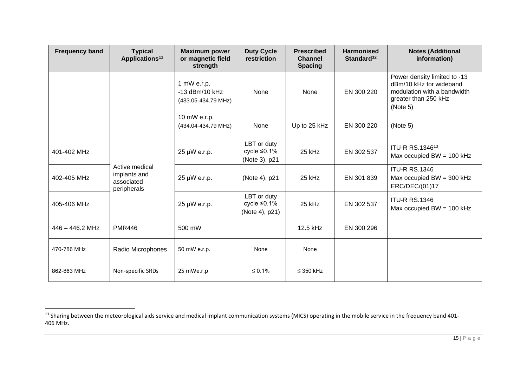| <b>Frequency band</b> | <b>Typical</b><br>Applications <sup>11</sup>                | <b>Maximum power</b><br>or magnetic field<br>strength  | <b>Duty Cycle</b><br>restriction                   | <b>Prescribed</b><br><b>Channel</b><br><b>Spacing</b> | <b>Harmonised</b><br>Standard $12$ | <b>Notes (Additional</b><br>information)                                                                                   |
|-----------------------|-------------------------------------------------------------|--------------------------------------------------------|----------------------------------------------------|-------------------------------------------------------|------------------------------------|----------------------------------------------------------------------------------------------------------------------------|
|                       |                                                             | 1 mW e.r.p.<br>$-13$ dBm/10 kHz<br>(433.05-434.79 MHz) | None                                               | None                                                  | EN 300 220                         | Power density limited to -13<br>dBm/10 kHz for wideband<br>modulation with a bandwidth<br>greater than 250 kHz<br>(Note 5) |
|                       |                                                             | 10 mW e.r.p.<br>(434.04-434.79 MHz)                    | None                                               | Up to 25 kHz                                          | EN 300 220                         | (Note 5)                                                                                                                   |
| 401-402 MHz           |                                                             | 25 µW e.r.p.                                           | LBT or duty<br>cycle $\leq 0.1\%$<br>(Note 3), p21 | 25 kHz                                                | EN 302 537                         | ITU-R RS.134613<br>Max occupied $BW = 100$ kHz                                                                             |
| 402-405 MHz           | Active medical<br>implants and<br>associated<br>peripherals | 25 µW e.r.p.                                           | (Note 4), p21                                      | 25 kHz                                                | EN 301 839                         | <b>ITU-R RS.1346</b><br>Max occupied $BW = 300$ kHz<br>ERC/DEC/(01)17                                                      |
| 405-406 MHz           |                                                             | 25 µW e.r.p.                                           | LBT or duty<br>cycle ≤0.1%<br>(Note 4), p21)       | 25 kHz                                                | EN 302 537                         | <b>ITU-R RS.1346</b><br>Max occupied $BW = 100$ kHz                                                                        |
| $446 - 446.2$ MHz     | <b>PMR446</b>                                               | 500 mW                                                 |                                                    | 12.5 kHz                                              | EN 300 296                         |                                                                                                                            |
| 470-786 MHz           | Radio Microphones                                           | 50 mW e.r.p.                                           | None                                               | None                                                  |                                    |                                                                                                                            |
| 862-863 MHz           | Non-specific SRDs                                           | 25 mWe.r.p                                             | $\leq 0.1\%$                                       | $\leq$ 350 kHz                                        |                                    |                                                                                                                            |

<sup>&</sup>lt;sup>13</sup> Sharing between the meteorological aids service and medical implant communication systems (MICS) operating in the mobile service in the frequency band 401-406 MHz.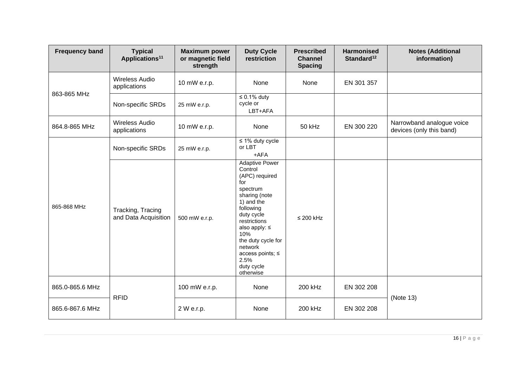| <b>Frequency band</b> | <b>Typical</b><br>Applications <sup>11</sup> | <b>Maximum power</b><br>or magnetic field<br>strength | <b>Duty Cycle</b><br>restriction                                                                                                                                                                                                                                     | <b>Prescribed</b><br><b>Channel</b><br><b>Spacing</b> | <b>Harmonised</b><br>Standard <sup>12</sup> | <b>Notes (Additional</b><br>information)              |
|-----------------------|----------------------------------------------|-------------------------------------------------------|----------------------------------------------------------------------------------------------------------------------------------------------------------------------------------------------------------------------------------------------------------------------|-------------------------------------------------------|---------------------------------------------|-------------------------------------------------------|
|                       | <b>Wireless Audio</b><br>applications        | 10 mW e.r.p.                                          | None                                                                                                                                                                                                                                                                 | None                                                  | EN 301 357                                  |                                                       |
| 863-865 MHz           | Non-specific SRDs                            | 25 mW e.r.p.                                          | $\leq 0.1\%$ duty<br>cycle or<br>LBT+AFA                                                                                                                                                                                                                             |                                                       |                                             |                                                       |
| 864.8-865 MHz         | <b>Wireless Audio</b><br>applications        | 10 mW e.r.p.                                          | None                                                                                                                                                                                                                                                                 | 50 kHz                                                | EN 300 220                                  | Narrowband analogue voice<br>devices (only this band) |
|                       | Non-specific SRDs                            | 25 mW e.r.p.                                          | $\leq 1\%$ duty cycle<br>or LBT<br>$+AFA$                                                                                                                                                                                                                            |                                                       |                                             |                                                       |
| 865-868 MHz           | Tracking, Tracing<br>and Data Acquisition    | 500 mW e.r.p.                                         | <b>Adaptive Power</b><br>Control<br>(APC) required<br>for<br>spectrum<br>sharing (note<br>1) and the<br>following<br>duty cycle<br>restrictions<br>also apply: $\leq$<br>10%<br>the duty cycle for<br>network<br>access points; ≤<br>2.5%<br>duty cycle<br>otherwise | $\leq$ 200 kHz                                        |                                             |                                                       |
| 865.0-865.6 MHz       |                                              | 100 mW e.r.p.                                         | None                                                                                                                                                                                                                                                                 | 200 kHz                                               | EN 302 208                                  | (Note 13)                                             |
| 865.6-867.6 MHz       | <b>RFID</b>                                  | 2 W e.r.p.                                            | None                                                                                                                                                                                                                                                                 | 200 kHz                                               | EN 302 208                                  |                                                       |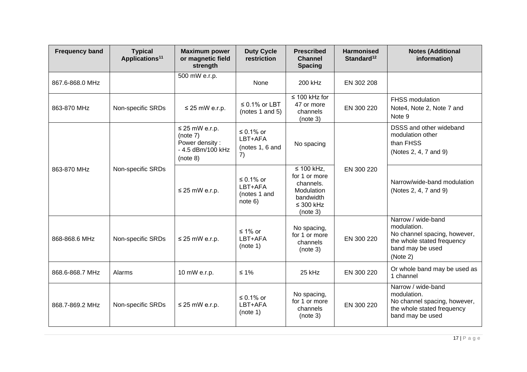| <b>Frequency band</b> | <b>Typical</b><br>Applications <sup>11</sup> | <b>Maximum power</b><br>or magnetic field<br>strength                              | <b>Duty Cycle</b><br>restriction                          | <b>Prescribed</b><br><b>Channel</b><br><b>Spacing</b>                                             | <b>Harmonised</b><br>Standard <sup>12</sup> | <b>Notes (Additional</b><br>information)                                                                                        |
|-----------------------|----------------------------------------------|------------------------------------------------------------------------------------|-----------------------------------------------------------|---------------------------------------------------------------------------------------------------|---------------------------------------------|---------------------------------------------------------------------------------------------------------------------------------|
| 867.6-868.0 MHz       |                                              | 500 mW e.r.p.                                                                      | None                                                      | 200 kHz                                                                                           | EN 302 208                                  |                                                                                                                                 |
| 863-870 MHz           | Non-specific SRDs                            | $\leq$ 25 mW e.r.p.                                                                | $\leq$ 0.1% or LBT<br>(notes 1 and 5)                     | $\leq 100$ kHz for<br>47 or more<br>channels<br>(note 3)                                          | EN 300 220                                  | FHSS modulation<br>Note4, Note 2, Note 7 and<br>Note 9                                                                          |
|                       |                                              | $\leq$ 25 mW e.r.p.<br>(note 7)<br>Power density:<br>- 4.5 dBm/100 kHz<br>(note 8) | ≤ 0.1% or<br>LBT+AFA<br>(notes 1, 6 and<br>$\overline{7}$ | No spacing                                                                                        | EN 300 220                                  | DSSS and other wideband<br>modulation other<br>than FHSS<br>(Notes 2, 4, 7 and 9)                                               |
| 863-870 MHz           | Non-specific SRDs                            | $\leq$ 25 mW e.r.p.                                                                | ≤ 0.1% or<br>LBT+AFA<br>(notes 1 and<br>note 6)           | ≤ 100 kHz,<br>for 1 or more<br>channels.<br>Modulation<br>bandwidth<br>$\leq$ 300 kHz<br>(note 3) |                                             | Narrow/wide-band modulation<br>(Notes 2, 4, 7 and 9)                                                                            |
| 868-868.6 MHz         | Non-specific SRDs                            | $\leq$ 25 mW e.r.p.                                                                | ≤ 1% or<br>LBT+AFA<br>(note 1)                            | No spacing,<br>for 1 or more<br>channels<br>(note 3)                                              | EN 300 220                                  | Narrow / wide-band<br>modulation.<br>No channel spacing, however,<br>the whole stated frequency<br>band may be used<br>(Note 2) |
| 868.6-868.7 MHz       | Alarms                                       | 10 mW e.r.p.                                                                       | $≤ 1\%$                                                   | 25 kHz                                                                                            | EN 300 220                                  | Or whole band may be used as<br>1 channel                                                                                       |
| 868.7-869.2 MHz       | Non-specific SRDs                            | $\leq$ 25 mW e.r.p.                                                                | $\leq 0.1\%$ or<br>LBT+AFA<br>(note 1)                    | No spacing,<br>for 1 or more<br>channels<br>(note 3)                                              | EN 300 220                                  | Narrow / wide-band<br>modulation.<br>No channel spacing, however,<br>the whole stated frequency<br>band may be used             |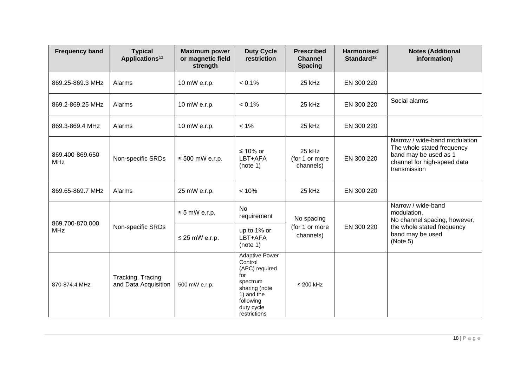| <b>Frequency band</b>         | <b>Typical</b><br>Applications <sup>11</sup> | <b>Maximum power</b><br>or magnetic field<br>strength | <b>Duty Cycle</b><br>restriction                                                                                                                | <b>Prescribed</b><br><b>Channel</b><br><b>Spacing</b> | <b>Harmonised</b><br>Standard <sup>12</sup> | <b>Notes (Additional</b><br>information)                                                                                            |
|-------------------------------|----------------------------------------------|-------------------------------------------------------|-------------------------------------------------------------------------------------------------------------------------------------------------|-------------------------------------------------------|---------------------------------------------|-------------------------------------------------------------------------------------------------------------------------------------|
| 869.25-869.3 MHz              | Alarms                                       | 10 mW e.r.p.                                          | $< 0.1\%$                                                                                                                                       | 25 kHz                                                | EN 300 220                                  |                                                                                                                                     |
| 869.2-869.25 MHz              | Alarms                                       | 10 mW e.r.p.                                          | $< 0.1\%$                                                                                                                                       | 25 kHz                                                | EN 300 220                                  | Social alarms                                                                                                                       |
| 869.3-869.4 MHz               | Alarms                                       | 10 mW e.r.p.                                          | $< 1\%$                                                                                                                                         | 25 kHz                                                | EN 300 220                                  |                                                                                                                                     |
| 869.400-869.650<br><b>MHz</b> | Non-specific SRDs                            | $\leq 500$ mW e.r.p.                                  | ≤ 10% or<br>LBT+AFA<br>(note 1)                                                                                                                 | 25 kHz<br>(for 1 or more<br>channels)                 | EN 300 220                                  | Narrow / wide-band modulation<br>The whole stated frequency<br>band may be used as 1<br>channel for high-speed data<br>transmission |
| 869.65-869.7 MHz              | Alarms                                       | 25 mW e.r.p.                                          | < 10%                                                                                                                                           | 25 kHz                                                | EN 300 220                                  |                                                                                                                                     |
| 869.700-870.000               | Non-specific SRDs                            | $\leq$ 5 mW e.r.p.                                    | <b>No</b><br>requirement                                                                                                                        | No spacing<br>(for 1 or more<br>channels)             |                                             | Narrow / wide-band<br>modulation.<br>No channel spacing, however,                                                                   |
| <b>MHz</b>                    |                                              | $\leq$ 25 mW e.r.p.                                   | up to 1% or<br>LBT+AFA<br>(note 1)                                                                                                              |                                                       | EN 300 220                                  | the whole stated frequency<br>band may be used<br>(Note 5)                                                                          |
| 870-874.4 MHz                 | Tracking, Tracing<br>and Data Acquisition    | 500 mW e.r.p.                                         | <b>Adaptive Power</b><br>Control<br>(APC) required<br>for<br>spectrum<br>sharing (note<br>1) and the<br>following<br>duty cycle<br>restrictions | $\leq$ 200 kHz                                        |                                             |                                                                                                                                     |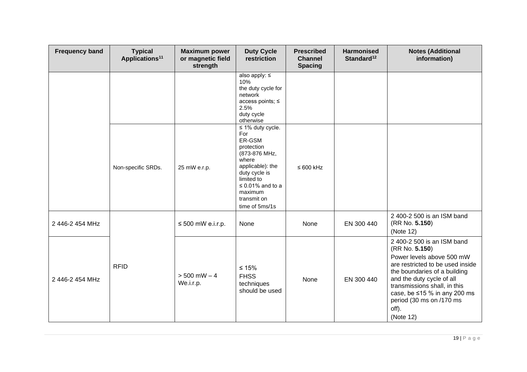| <b>Frequency band</b> | <b>Typical</b><br>Applications <sup>11</sup> | <b>Maximum power</b><br>or magnetic field<br>strength | <b>Duty Cycle</b><br>restriction                                                                                                                                                                       | <b>Prescribed</b><br><b>Channel</b><br><b>Spacing</b> | <b>Harmonised</b><br>Standard <sup>12</sup> | <b>Notes (Additional</b><br>information)                                                                                                                                                                                                                                                           |
|-----------------------|----------------------------------------------|-------------------------------------------------------|--------------------------------------------------------------------------------------------------------------------------------------------------------------------------------------------------------|-------------------------------------------------------|---------------------------------------------|----------------------------------------------------------------------------------------------------------------------------------------------------------------------------------------------------------------------------------------------------------------------------------------------------|
|                       |                                              |                                                       | also apply: $\leq$<br>10%<br>the duty cycle for<br>network<br>access points; ≤<br>2.5%<br>duty cycle<br>otherwise                                                                                      |                                                       |                                             |                                                                                                                                                                                                                                                                                                    |
|                       | Non-specific SRDs.                           | 25 mW e.r.p.                                          | $\leq$ 1% duty cycle.<br>For<br>ER-GSM<br>protection<br>(873-876 MHz,<br>where<br>applicable): the<br>duty cycle is<br>limited to<br>$\leq$ 0.01% and to a<br>maximum<br>transmit on<br>time of 5ms/1s | $\leq 600$ kHz                                        |                                             |                                                                                                                                                                                                                                                                                                    |
| 2 446-2 454 MHz       |                                              | $\leq 500$ mW e.i.r.p.                                | None                                                                                                                                                                                                   | None                                                  | EN 300 440                                  | 2 400-2 500 is an ISM band<br>(RR No. 5.150)<br>(Note 12)                                                                                                                                                                                                                                          |
| 2 446-2 454 MHz       | <b>RFID</b>                                  | $> 500$ mW $- 4$<br>We.i.r.p.                         | $≤ 15%$<br><b>FHSS</b><br>techniques<br>should be used                                                                                                                                                 | None                                                  | EN 300 440                                  | 2 400-2 500 is an ISM band<br>(RR No. 5.150)<br>Power levels above 500 mW<br>are restricted to be used inside<br>the boundaries of a building<br>and the duty cycle of all<br>transmissions shall, in this<br>case, be $\leq$ 15 % in any 200 ms<br>period (30 ms on /170 ms<br>off).<br>(Note 12) |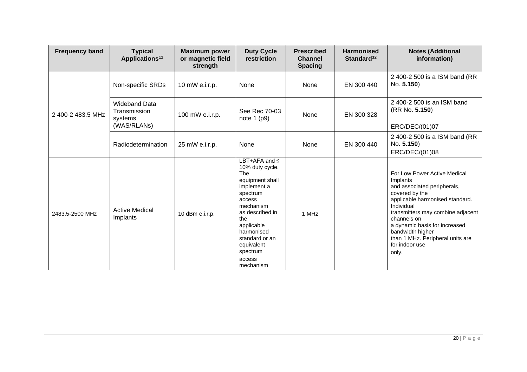| <b>Frequency band</b> | <b>Typical</b><br>Applications <sup>11</sup>                   | <b>Maximum power</b><br>or magnetic field<br>strength | <b>Duty Cycle</b><br>restriction                                                                                                                                                                                                           | <b>Prescribed</b><br><b>Channel</b><br><b>Spacing</b> | <b>Harmonised</b><br>Standard $12$ | <b>Notes (Additional</b><br>information)                                                                                                                                                                                                                                                                           |
|-----------------------|----------------------------------------------------------------|-------------------------------------------------------|--------------------------------------------------------------------------------------------------------------------------------------------------------------------------------------------------------------------------------------------|-------------------------------------------------------|------------------------------------|--------------------------------------------------------------------------------------------------------------------------------------------------------------------------------------------------------------------------------------------------------------------------------------------------------------------|
|                       | Non-specific SRDs                                              | 10 mW e.i.r.p.                                        | None                                                                                                                                                                                                                                       | None                                                  | EN 300 440                         | 2 400-2 500 is a ISM band (RR<br>No. 5.150)                                                                                                                                                                                                                                                                        |
| 2 400-2 483.5 MHz     | <b>Wideband Data</b><br>Transmission<br>systems<br>(WAS/RLANs) | 100 mW e.i.r.p.                                       | See Rec 70-03<br>note $1$ (p9)                                                                                                                                                                                                             | None                                                  | EN 300 328                         | 2400-2500 is an ISM band<br>(RR No. 5.150)<br>ERC/DEC/(01)07                                                                                                                                                                                                                                                       |
|                       | Radiodetermination                                             | 25 mW e.i.r.p.                                        | None                                                                                                                                                                                                                                       | None                                                  | EN 300 440                         | 2 400-2 500 is a ISM band (RR<br>No. 5.150)<br>ERC/DEC/(01)08                                                                                                                                                                                                                                                      |
| 2483.5-2500 MHz       | <b>Active Medical</b><br>Implants                              | 10 dBm e.i.r.p.                                       | LBT+AFA and $\leq$<br>10% duty cycle.<br>The<br>equipment shall<br>implement a<br>spectrum<br>access<br>mechanism<br>as described in<br>the<br>applicable<br>harmonised<br>standard or an<br>equivalent<br>spectrum<br>access<br>mechanism | 1 MHz                                                 |                                    | For Low Power Active Medical<br>Implants<br>and associated peripherals,<br>covered by the<br>applicable harmonised standard.<br>Individual<br>transmitters may combine adjacent<br>channels on<br>a dynamic basis for increased<br>bandwidth higher<br>than 1 MHz. Peripheral units are<br>for indoor use<br>only. |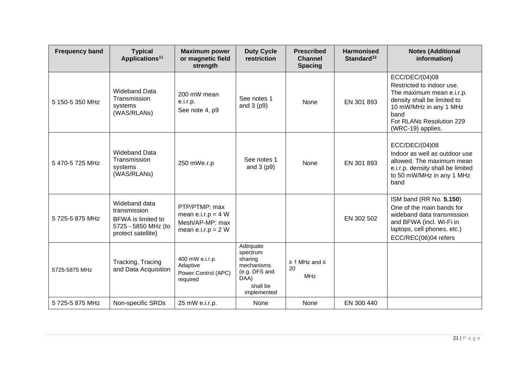| <b>Frequency band</b> | <b>Typical</b><br>Applications <sup>11</sup>                                                            | <b>Maximum power</b><br>or magnetic field<br>strength                            | <b>Duty Cycle</b><br>restriction                                                                  | <b>Prescribed</b><br><b>Channel</b><br><b>Spacing</b> | <b>Harmonised</b><br>Standard <sup>12</sup> | <b>Notes (Additional</b><br>information)                                                                                                                                                   |
|-----------------------|---------------------------------------------------------------------------------------------------------|----------------------------------------------------------------------------------|---------------------------------------------------------------------------------------------------|-------------------------------------------------------|---------------------------------------------|--------------------------------------------------------------------------------------------------------------------------------------------------------------------------------------------|
| 5 150-5 350 MHz       | <b>Wideband Data</b><br>Transmission<br>systems<br>(WAS/RLANs)                                          | 200 mW mean<br>e.i.r.p.<br>See note 4, p9                                        | See notes 1<br>and $3$ (p9)                                                                       | None                                                  | EN 301 893                                  | ECC/DEC/(04)08<br>Restricted to indoor use.<br>The maximum mean e.i.r.p.<br>density shall be limited to<br>10 mW/MHz in any 1 MHz<br>band<br>For RLANs Resolution 229<br>(WRC-19) applies. |
| 5470-5725 MHz         | <b>Wideband Data</b><br>Transmission<br>systems<br>(WAS/RLANs)                                          | 250 mWe.r.p                                                                      | See notes 1<br>and $3$ (p9)                                                                       | <b>None</b>                                           | EN 301 893                                  | ECC/DEC/(04)08<br>Indoor as well as outdoor use<br>allowed. The maximum mean<br>e.i.r.p. density shall be limited<br>to 50 mW/MHz in any 1 MHz<br>band                                     |
| 5 725-5 875 MHz       | Wideband data<br>transmission<br><b>BFWA</b> is limited to<br>5725 - 5850 MHz (to<br>protect satellite) | PTP/PTMP: max<br>mean e.i.r.p = $4 W$<br>Mesh/AP-MP: max<br>mean $e.i.r.p = 2 W$ |                                                                                                   |                                                       | EN 302 502                                  | ISM band (RR No. 5.150)<br>One of the main bands for<br>wideband data transmission<br>and BFWA (incl. Wi-Fi in<br>laptops, cell phones, etc.)<br>ECC/REC(06)04 refers                      |
| 5725-5875 MHz         | Tracking, Tracing<br>and Data Acquisition                                                               | 400 mW e.i.r.p.<br>Adaptive<br>Power Control (APC)<br>required                   | Adequate<br>spectrum<br>sharing<br>mechanisms<br>(e.g. DFS and<br>DAA)<br>shall be<br>implemented | $\geq$ 1 MHz and $\leq$<br>20<br><b>MHz</b>           |                                             |                                                                                                                                                                                            |
| 5 725-5 875 MHz       | Non-specific SRDs                                                                                       | 25 mW e.i.r.p.                                                                   | None                                                                                              | None                                                  | EN 300 440                                  |                                                                                                                                                                                            |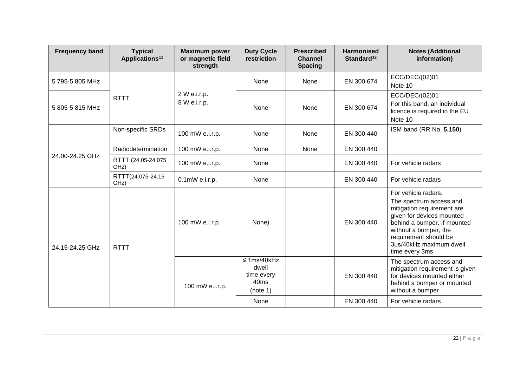| <b>Frequency band</b> | <b>Typical</b><br>Applications <sup>11</sup> | <b>Maximum power</b><br>or magnetic field<br>strength | <b>Duty Cycle</b><br>restriction                                        | <b>Prescribed</b><br><b>Channel</b><br><b>Spacing</b> | <b>Harmonised</b><br>Standard <sup>12</sup> | <b>Notes (Additional</b><br>information)                                                                                                                                                                                                |
|-----------------------|----------------------------------------------|-------------------------------------------------------|-------------------------------------------------------------------------|-------------------------------------------------------|---------------------------------------------|-----------------------------------------------------------------------------------------------------------------------------------------------------------------------------------------------------------------------------------------|
| 5795-5805 MHz         | <b>RTTT</b>                                  | 2 W e.i.r.p.<br>8 W e.i.r.p.                          | None                                                                    | None                                                  | EN 300 674                                  | ECC/DEC/(02)01<br>Note 10                                                                                                                                                                                                               |
| 5 805-5 815 MHz       |                                              |                                                       | None                                                                    | None                                                  | EN 300 674                                  | ECC/DEC/(02)01<br>For this band, an individual<br>licence is required in the EU<br>Note 10                                                                                                                                              |
| 24.00-24.25 GHz       | Non-specific SRDs                            | 100 mW e.i.r.p.                                       | None                                                                    | None                                                  | EN 300 440                                  | ISM band (RR No. 5.150)                                                                                                                                                                                                                 |
|                       | Radiodetermination                           | 100 mW e.i.r.p.                                       | None                                                                    | None                                                  | EN 300 440                                  |                                                                                                                                                                                                                                         |
|                       | RTTT (24.05-24.075<br>GHz)                   | 100 mW e.i.r.p.                                       | None                                                                    |                                                       | EN 300 440                                  | For vehicle radars                                                                                                                                                                                                                      |
|                       | RTTT(24.075-24.15<br>GHz)                    | $0.1$ m $W$ e.i.r.p.                                  | None                                                                    |                                                       | EN 300 440                                  | For vehicle radars                                                                                                                                                                                                                      |
| 24.15-24.25 GHz       | <b>RTTT</b>                                  | 100 mW e.i.r.p.                                       | None)                                                                   |                                                       | EN 300 440                                  | For vehicle radars.<br>The spectrum access and<br>mitigation requirement are<br>given for devices mounted<br>behind a bumper. If mounted<br>without a bumper, the<br>requirement should be<br>3µs/40kHz maximum dwell<br>time every 3ms |
|                       |                                              | 100 mW e.i.r.p.                                       | $\leq$ 1ms/40kHz<br>dwell<br>time every<br>40 <sub>ms</sub><br>(note 1) |                                                       | EN 300 440                                  | The spectrum access and<br>mitigation requirement is given<br>for devices mounted either<br>behind a bumper or mounted<br>without a bumper                                                                                              |
|                       |                                              |                                                       | None                                                                    |                                                       | EN 300 440                                  | For vehicle radars                                                                                                                                                                                                                      |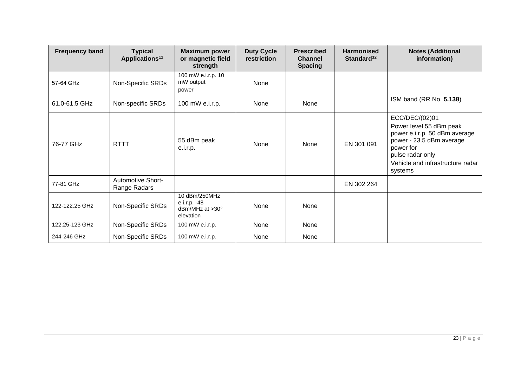| <b>Frequency band</b> | <b>Typical</b><br>Applications <sup>11</sup> | <b>Maximum power</b><br>or magnetic field<br>strength         | <b>Duty Cycle</b><br>restriction | <b>Prescribed</b><br><b>Channel</b><br><b>Spacing</b> | <b>Harmonised</b><br>Standard <sup>12</sup> | <b>Notes (Additional</b><br>information)                                                                                                                                               |
|-----------------------|----------------------------------------------|---------------------------------------------------------------|----------------------------------|-------------------------------------------------------|---------------------------------------------|----------------------------------------------------------------------------------------------------------------------------------------------------------------------------------------|
| 57-64 GHz             | Non-Specific SRDs                            | 100 mW e.i.r.p. 10<br>mW output<br>power                      | None                             |                                                       |                                             |                                                                                                                                                                                        |
| 61.0-61.5 GHz         | Non-specific SRDs                            | 100 mW e.i.r.p.                                               | None                             | None                                                  |                                             | ISM band (RR No. 5.138)                                                                                                                                                                |
| 76-77 GHz             | <b>RTTT</b>                                  | 55 dBm peak<br>e.i.r.p.                                       | None                             | None                                                  | EN 301 091                                  | ECC/DEC/(02)01<br>Power level 55 dBm peak<br>power e.i.r.p. 50 dBm average<br>power - 23.5 dBm average<br>power for<br>pulse radar only<br>Vehicle and infrastructure radar<br>systems |
| 77-81 GHz             | Automotive Short-<br>Range Radars            |                                                               |                                  |                                                       | EN 302 264                                  |                                                                                                                                                                                        |
| 122-122.25 GHz        | Non-Specific SRDs                            | 10 dBm/250MHz<br>e.i.r.p. -48<br>dBm/MHz at >30°<br>elevation | None                             | None                                                  |                                             |                                                                                                                                                                                        |
| 122.25-123 GHz        | Non-Specific SRDs                            | 100 mW e.i.r.p.                                               | None                             | None                                                  |                                             |                                                                                                                                                                                        |
| 244-246 GHz           | Non-Specific SRDs                            | 100 mW e.i.r.p.                                               | None                             | None                                                  |                                             |                                                                                                                                                                                        |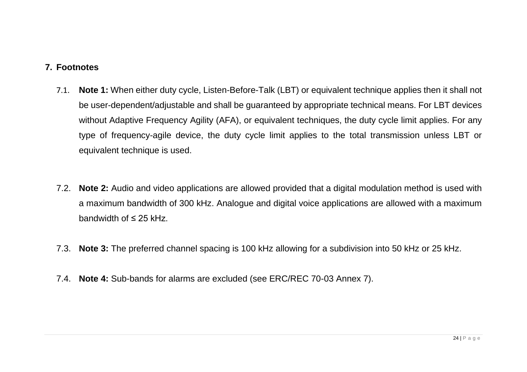#### **7. Footnotes**

- 7.1. **Note 1:** When either duty cycle, Listen-Before-Talk (LBT) or equivalent technique applies then it shall not be user-dependent/adjustable and shall be guaranteed by appropriate technical means. For LBT devices without Adaptive Frequency Agility (AFA), or equivalent techniques, the duty cycle limit applies. For any type of frequency-agile device, the duty cycle limit applies to the total transmission unless LBT or equivalent technique is used.
- 7.2. **Note 2:** Audio and video applications are allowed provided that a digital modulation method is used with a maximum bandwidth of 300 kHz. Analogue and digital voice applications are allowed with a maximum bandwidth of ≤ 25 kHz.
- <span id="page-23-0"></span>7.3. **Note 3:** The preferred channel spacing is 100 kHz allowing for a subdivision into 50 kHz or 25 kHz.
- 7.4. **Note 4:** Sub-bands for alarms are excluded (see ERC/REC 70-03 Annex 7).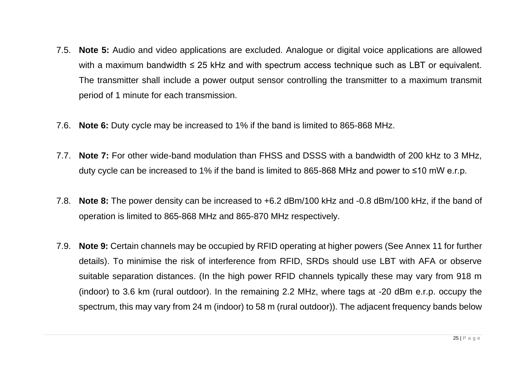- 7.5. **Note 5:** Audio and video applications are excluded. Analogue or digital voice applications are allowed with a maximum bandwidth ≤ 25 kHz and with spectrum access technique such as LBT or equivalent. The transmitter shall include a power output sensor controlling the transmitter to a maximum transmit period of 1 minute for each transmission.
- 7.6. **Note 6:** Duty cycle may be increased to 1% if the band is limited to 865-868 MHz.
- 7.7. **Note 7:** For other wide-band modulation than FHSS and DSSS with a bandwidth of 200 kHz to 3 MHz, duty cycle can be increased to 1% if the band is limited to 865-868 MHz and power to ≤10 mW e.r.p.
- 7.8. **Note 8:** The power density can be increased to +6.2 dBm/100 kHz and -0.8 dBm/100 kHz, if the band of operation is limited to 865-868 MHz and 865-870 MHz respectively.
- 7.9. **Note 9:** Certain channels may be occupied by RFID operating at higher powers (See Annex 11 for further details). To minimise the risk of interference from RFID, SRDs should use LBT with AFA or observe suitable separation distances. (In the high power RFID channels typically these may vary from 918 m (indoor) to 3.6 km (rural outdoor). In the remaining 2.2 MHz, where tags at -20 dBm e.r.p. occupy the spectrum, this may vary from 24 m (indoor) to 58 m (rural outdoor)). The adjacent frequency bands below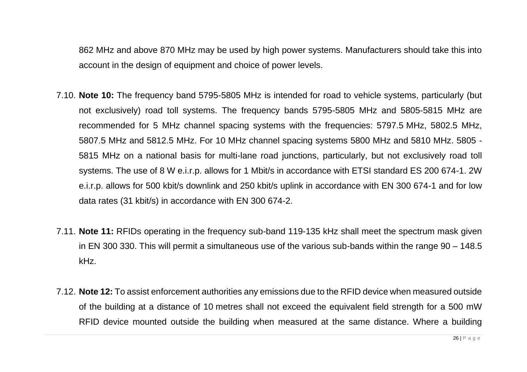862 MHz and above 870 MHz may be used by high power systems. Manufacturers should take this into account in the design of equipment and choice of power levels.

- 7.10. **Note 10:** The frequency band 5795-5805 MHz is intended for road to vehicle systems, particularly (but not exclusively) road toll systems. The frequency bands 5795-5805 MHz and 5805-5815 MHz are recommended for 5 MHz channel spacing systems with the frequencies: 5797.5 MHz, 5802.5 MHz, 5807.5 MHz and 5812.5 MHz. For 10 MHz channel spacing systems 5800 MHz and 5810 MHz. 5805 - 5815 MHz on a national basis for multi-lane road junctions, particularly, but not exclusively road toll systems. The use of 8 W e.i.r.p. allows for 1 Mbit/s in accordance with ETSI standard ES 200 674-1. 2W e.i.r.p. allows for 500 kbit/s downlink and 250 kbit/s uplink in accordance with EN 300 674-1 and for low data rates (31 kbit/s) in accordance with EN 300 674-2.
- 7.11. **Note 11:** RFIDs operating in the frequency sub-band 119-135 kHz shall meet the spectrum mask given in EN 300 330. This will permit a simultaneous use of the various sub-bands within the range 90 – 148.5 kHz.
- 7.12. **Note 12:** To assist enforcement authorities any emissions due to the RFID device when measured outside of the building at a distance of 10 metres shall not exceed the equivalent field strength for a 500 mW RFID device mounted outside the building when measured at the same distance. Where a building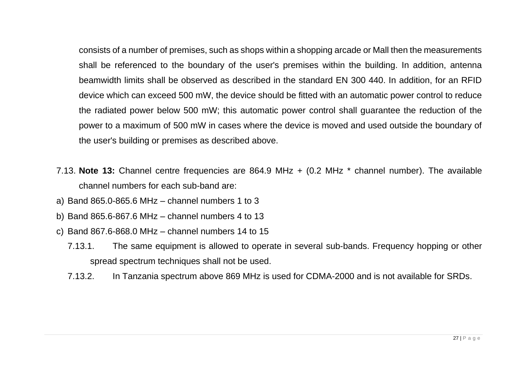consists of a number of premises, such as shops within a shopping arcade or Mall then the measurements shall be referenced to the boundary of the user's premises within the building. In addition, antenna beamwidth limits shall be observed as described in the standard EN 300 440. In addition, for an RFID device which can exceed 500 mW, the device should be fitted with an automatic power control to reduce the radiated power below 500 mW; this automatic power control shall guarantee the reduction of the power to a maximum of 500 mW in cases where the device is moved and used outside the boundary of the user's building or premises as described above.

- 7.13. **Note 13:** Channel centre frequencies are 864.9 MHz + (0.2 MHz \* channel number). The available channel numbers for each sub-band are:
- a) Band 865.0-865.6 MHz channel numbers 1 to 3
- b) Band 865.6-867.6 MHz channel numbers 4 to 13
- c) Band 867.6-868.0 MHz channel numbers 14 to 15
	- 7.13.1. The same equipment is allowed to operate in several sub-bands. Frequency hopping or other spread spectrum techniques shall not be used.
	- 7.13.2. In Tanzania spectrum above 869 MHz is used for CDMA-2000 and is not available for SRDs.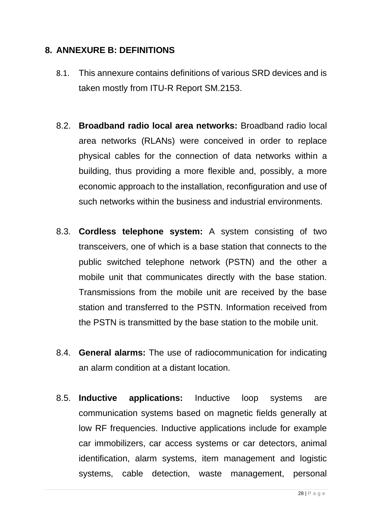### <span id="page-27-0"></span>**8. ANNEXURE B: DEFINITIONS**

- 8.1. This annexure contains definitions of various SRD devices and is taken mostly from ITU-R Report SM.2153.
- 8.2. **Broadband radio local area networks:** Broadband radio local area networks (RLANs) were conceived in order to replace physical cables for the connection of data networks within a building, thus providing a more flexible and, possibly, a more economic approach to the installation, reconfiguration and use of such networks within the business and industrial environments.
- 8.3. **Cordless telephone system:** A system consisting of two transceivers, one of which is a base station that connects to the public switched telephone network (PSTN) and the other a mobile unit that communicates directly with the base station. Transmissions from the mobile unit are received by the base station and transferred to the PSTN. Information received from the PSTN is transmitted by the base station to the mobile unit.
- 8.4. **General alarms:** The use of radiocommunication for indicating an alarm condition at a distant location.
- 8.5. **Inductive applications:** Inductive loop systems are communication systems based on magnetic fields generally at low RF frequencies. Inductive applications include for example car immobilizers, car access systems or car detectors, animal identification, alarm systems, item management and logistic systems, cable detection, waste management, personal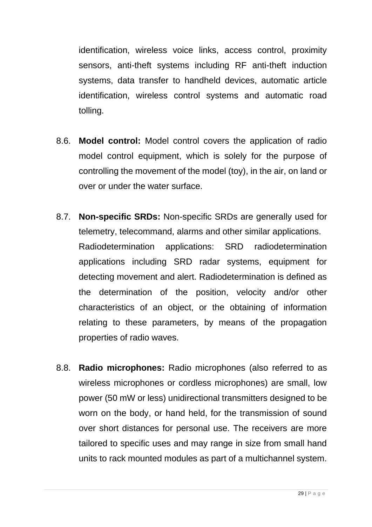identification, wireless voice links, access control, proximity sensors, anti-theft systems including RF anti-theft induction systems, data transfer to handheld devices, automatic article identification, wireless control systems and automatic road tolling.

- 8.6. **Model control:** Model control covers the application of radio model control equipment, which is solely for the purpose of controlling the movement of the model (toy), in the air, on land or over or under the water surface.
- 8.7. **Non-specific SRDs:** Non-specific SRDs are generally used for telemetry, telecommand, alarms and other similar applications. Radiodetermination applications: SRD radiodetermination applications including SRD radar systems, equipment for detecting movement and alert. Radiodetermination is defined as the determination of the position, velocity and/or other characteristics of an object, or the obtaining of information relating to these parameters, by means of the propagation properties of radio waves.
- 8.8. **Radio microphones:** Radio microphones (also referred to as wireless microphones or cordless microphones) are small, low power (50 mW or less) unidirectional transmitters designed to be worn on the body, or hand held, for the transmission of sound over short distances for personal use. The receivers are more tailored to specific uses and may range in size from small hand units to rack mounted modules as part of a multichannel system.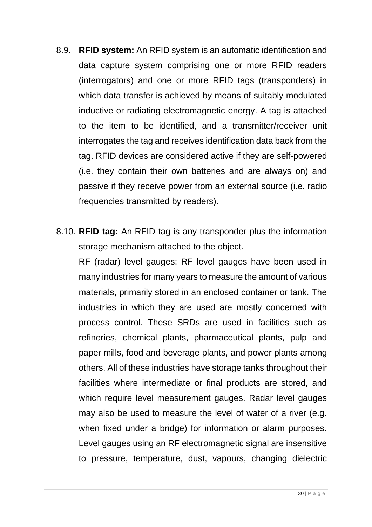- 8.9. **RFID system:** An RFID system is an automatic identification and data capture system comprising one or more RFID readers (interrogators) and one or more RFID tags (transponders) in which data transfer is achieved by means of suitably modulated inductive or radiating electromagnetic energy. A tag is attached to the item to be identified, and a transmitter/receiver unit interrogates the tag and receives identification data back from the tag. RFID devices are considered active if they are self-powered (i.e. they contain their own batteries and are always on) and passive if they receive power from an external source (i.e. radio frequencies transmitted by readers).
- 8.10. **RFID tag:** An RFID tag is any transponder plus the information storage mechanism attached to the object.

RF (radar) level gauges: RF level gauges have been used in many industries for many years to measure the amount of various materials, primarily stored in an enclosed container or tank. The industries in which they are used are mostly concerned with process control. These SRDs are used in facilities such as refineries, chemical plants, pharmaceutical plants, pulp and paper mills, food and beverage plants, and power plants among others. All of these industries have storage tanks throughout their facilities where intermediate or final products are stored, and which require level measurement gauges. Radar level gauges may also be used to measure the level of water of a river (e.g. when fixed under a bridge) for information or alarm purposes. Level gauges using an RF electromagnetic signal are insensitive to pressure, temperature, dust, vapours, changing dielectric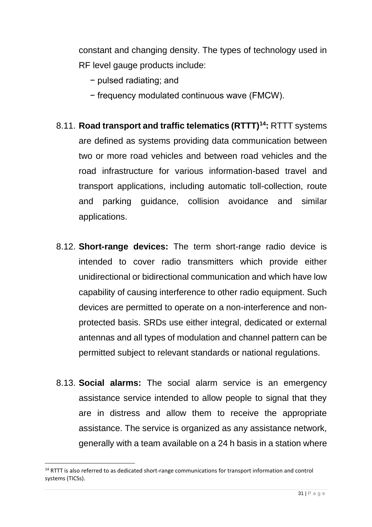constant and changing density. The types of technology used in RF level gauge products include:

- − pulsed radiating; and
- − frequency modulated continuous wave (FMCW).
- 8.11. **Road transport and traffic telematics (RTTT)<sup>14</sup>:** RTTT systems are defined as systems providing data communication between two or more road vehicles and between road vehicles and the road infrastructure for various information-based travel and transport applications, including automatic toll-collection, route and parking guidance, collision avoidance and similar applications.
- 8.12. **Short-range devices:** The term short-range radio device is intended to cover radio transmitters which provide either unidirectional or bidirectional communication and which have low capability of causing interference to other radio equipment. Such devices are permitted to operate on a non-interference and nonprotected basis. SRDs use either integral, dedicated or external antennas and all types of modulation and channel pattern can be permitted subject to relevant standards or national regulations.
- 8.13. **Social alarms:** The social alarm service is an emergency assistance service intended to allow people to signal that they are in distress and allow them to receive the appropriate assistance. The service is organized as any assistance network, generally with a team available on a 24 h basis in a station where

<sup>&</sup>lt;sup>14</sup> RTTT is also referred to as dedicated short-range communications for transport information and control systems (TICSs).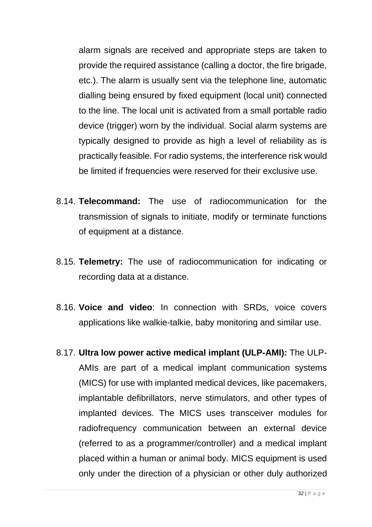alarm signals are received and appropriate steps are taken to provide the required assistance (calling a doctor, the fire brigade, etc.). The alarm is usually sent via the telephone line, automatic dialling being ensured by fixed equipment (local unit) connected to the line. The local unit is activated from a small portable radio device (trigger) worn by the individual. Social alarm systems are typically designed to provide as high a level of reliability as is practically feasible. For radio systems, the interference risk would be limited if frequencies were reserved for their exclusive use.

- 8.14. **Telecommand:** The use of radiocommunication for the transmission of signals to initiate, modify or terminate functions of equipment at a distance.
- 8.15. **Telemetry:** The use of radiocommunication for indicating or recording data at a distance.
- 8.16. **Voice and video**: In connection with SRDs, voice covers applications like walkie-talkie, baby monitoring and similar use.
- 8.17. **Ultra low power active medical implant (ULP-AMI):** The ULP-AMIs are part of a medical implant communication systems (MICS) for use with implanted medical devices, like pacemakers, implantable defibrillators, nerve stimulators, and other types of implanted devices. The MICS uses transceiver modules for radiofrequency communication between an external device (referred to as a programmer/controller) and a medical implant placed within a human or animal body. MICS equipment is used only under the direction of a physician or other duly authorized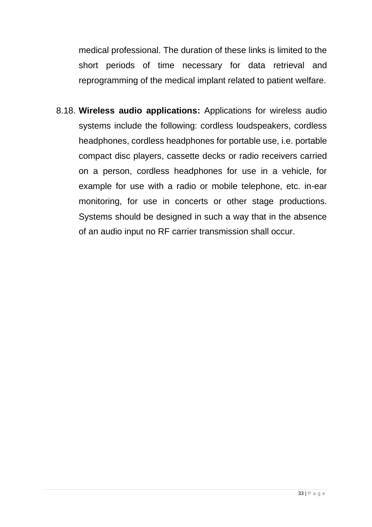medical professional. The duration of these links is limited to the short periods of time necessary for data retrieval and reprogramming of the medical implant related to patient welfare.

8.18. **Wireless audio applications:** Applications for wireless audio systems include the following: cordless loudspeakers, cordless headphones, cordless headphones for portable use, i.e. portable compact disc players, cassette decks or radio receivers carried on a person, cordless headphones for use in a vehicle, for example for use with a radio or mobile telephone, etc. in-ear monitoring, for use in concerts or other stage productions. Systems should be designed in such a way that in the absence of an audio input no RF carrier transmission shall occur.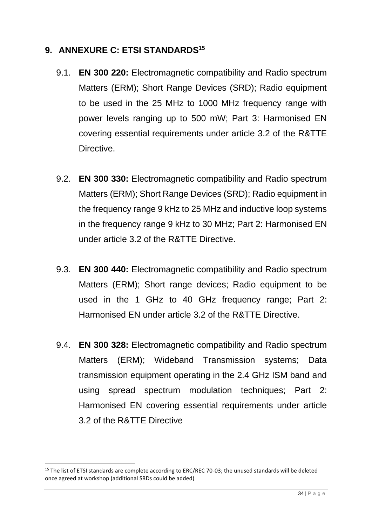### <span id="page-33-0"></span>**9. ANNEXURE C: ETSI STANDARDS<sup>15</sup>**

- 9.1. **EN 300 220:** Electromagnetic compatibility and Radio spectrum Matters (ERM); Short Range Devices (SRD); Radio equipment to be used in the 25 MHz to 1000 MHz frequency range with power levels ranging up to 500 mW; Part 3: Harmonised EN covering essential requirements under article 3.2 of the R&TTE Directive.
- 9.2. **EN 300 330:** Electromagnetic compatibility and Radio spectrum Matters (ERM); Short Range Devices (SRD); Radio equipment in the frequency range 9 kHz to 25 MHz and inductive loop systems in the frequency range 9 kHz to 30 MHz; Part 2: Harmonised EN under article 3.2 of the R&TTE Directive.
- 9.3. **EN 300 440:** Electromagnetic compatibility and Radio spectrum Matters (ERM); Short range devices; Radio equipment to be used in the 1 GHz to 40 GHz frequency range; Part 2: Harmonised EN under article 3.2 of the R&TTE Directive.
- 9.4. **EN 300 328:** Electromagnetic compatibility and Radio spectrum Matters (ERM); Wideband Transmission systems; Data transmission equipment operating in the 2.4 GHz ISM band and using spread spectrum modulation techniques; Part 2: Harmonised EN covering essential requirements under article 3.2 of the R&TTE Directive

<sup>&</sup>lt;sup>15</sup> The list of ETSI standards are complete according to ERC/REC 70-03; the unused standards will be deleted once agreed at workshop (additional SRDs could be added)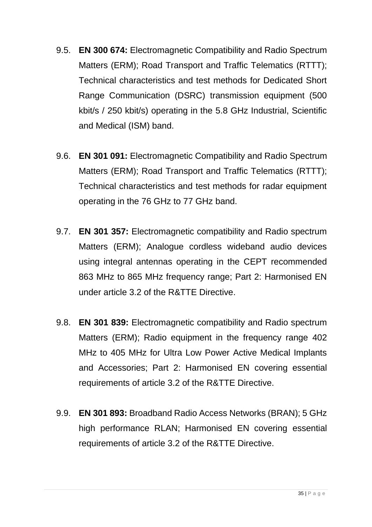- 9.5. **EN 300 674:** Electromagnetic Compatibility and Radio Spectrum Matters (ERM); Road Transport and Traffic Telematics (RTTT); Technical characteristics and test methods for Dedicated Short Range Communication (DSRC) transmission equipment (500 kbit/s / 250 kbit/s) operating in the 5.8 GHz Industrial, Scientific and Medical (ISM) band.
- 9.6. **EN 301 091:** Electromagnetic Compatibility and Radio Spectrum Matters (ERM); Road Transport and Traffic Telematics (RTTT); Technical characteristics and test methods for radar equipment operating in the 76 GHz to 77 GHz band.
- 9.7. **EN 301 357:** Electromagnetic compatibility and Radio spectrum Matters (ERM); Analogue cordless wideband audio devices using integral antennas operating in the CEPT recommended 863 MHz to 865 MHz frequency range; Part 2: Harmonised EN under article 3.2 of the R&TTE Directive.
- 9.8. **EN 301 839:** Electromagnetic compatibility and Radio spectrum Matters (ERM); Radio equipment in the frequency range 402 MHz to 405 MHz for Ultra Low Power Active Medical Implants and Accessories; Part 2: Harmonised EN covering essential requirements of article 3.2 of the R&TTE Directive.
- 9.9. **EN 301 893:** Broadband Radio Access Networks (BRAN); 5 GHz high performance RLAN; Harmonised EN covering essential requirements of article 3.2 of the R&TTE Directive.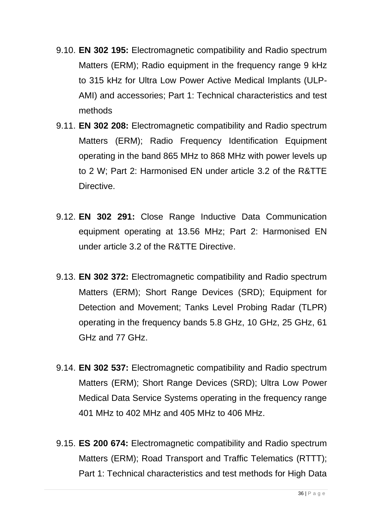- 9.10. **EN 302 195:** Electromagnetic compatibility and Radio spectrum Matters (ERM); Radio equipment in the frequency range 9 kHz to 315 kHz for Ultra Low Power Active Medical Implants (ULP-AMI) and accessories; Part 1: Technical characteristics and test methods
- 9.11. **EN 302 208:** Electromagnetic compatibility and Radio spectrum Matters (ERM); Radio Frequency Identification Equipment operating in the band 865 MHz to 868 MHz with power levels up to 2 W; Part 2: Harmonised EN under article 3.2 of the R&TTE **Directive**
- 9.12. **EN 302 291:** Close Range Inductive Data Communication equipment operating at 13.56 MHz; Part 2: Harmonised EN under article 3.2 of the R&TTE Directive.
- 9.13. **EN 302 372:** Electromagnetic compatibility and Radio spectrum Matters (ERM); Short Range Devices (SRD); Equipment for Detection and Movement; Tanks Level Probing Radar (TLPR) operating in the frequency bands 5.8 GHz, 10 GHz, 25 GHz, 61 GHz and 77 GHz.
- 9.14. **EN 302 537:** Electromagnetic compatibility and Radio spectrum Matters (ERM); Short Range Devices (SRD); Ultra Low Power Medical Data Service Systems operating in the frequency range 401 MHz to 402 MHz and 405 MHz to 406 MHz.
- 9.15. **ES 200 674:** Electromagnetic compatibility and Radio spectrum Matters (ERM); Road Transport and Traffic Telematics (RTTT); Part 1: Technical characteristics and test methods for High Data